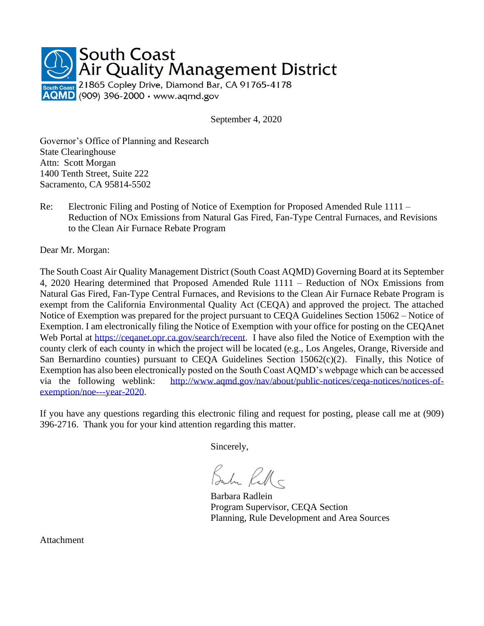

September 4, 2020

Governor's Office of Planning and Research State Clearinghouse Attn: Scott Morgan 1400 Tenth Street, Suite 222 Sacramento, CA 95814-5502

Re: Electronic Filing and Posting of Notice of Exemption for Proposed Amended Rule 1111 – Reduction of NOx Emissions from Natural Gas Fired, Fan-Type Central Furnaces, and Revisions to the Clean Air Furnace Rebate Program

Dear Mr. Morgan:

The South Coast Air Quality Management District (South Coast AQMD) Governing Board at its September 4, 2020 Hearing determined that Proposed Amended Rule 1111 – Reduction of NOx Emissions from Natural Gas Fired, Fan-Type Central Furnaces, and Revisions to the Clean Air Furnace Rebate Program is exempt from the California Environmental Quality Act (CEQA) and approved the project. The attached Notice of Exemption was prepared for the project pursuant to CEQA Guidelines Section 15062 – Notice of Exemption. I am electronically filing the Notice of Exemption with your office for posting on the CEQAnet Web Portal at [https://ceqanet.opr.ca.gov/search/recent.](https://ceqanet.opr.ca.gov/search/recent) I have also filed the Notice of Exemption with the county clerk of each county in which the project will be located (e.g., Los Angeles, Orange, Riverside and San Bernardino counties) pursuant to CEQA Guidelines Section 15062(c)(2). Finally, this Notice of Exemption has also been electronically posted on the South Coast AQMD's webpage which can be accessed via the following weblink: [http://www.aqmd.gov/nav/about/public-notices/ceqa-notices/notices-of](http://www.aqmd.gov/nav/about/public-notices/ceqa-notices/notices-of-exemption/noe---year-2020)[exemption/noe---year-2020.](http://www.aqmd.gov/nav/about/public-notices/ceqa-notices/notices-of-exemption/noe---year-2020)

If you have any questions regarding this electronic filing and request for posting, please call me at (909) 396-2716. Thank you for your kind attention regarding this matter.

Sincerely,

Bube Rall

Barbara Radlein Program Supervisor, CEQA Section Planning, Rule Development and Area Sources

Attachment